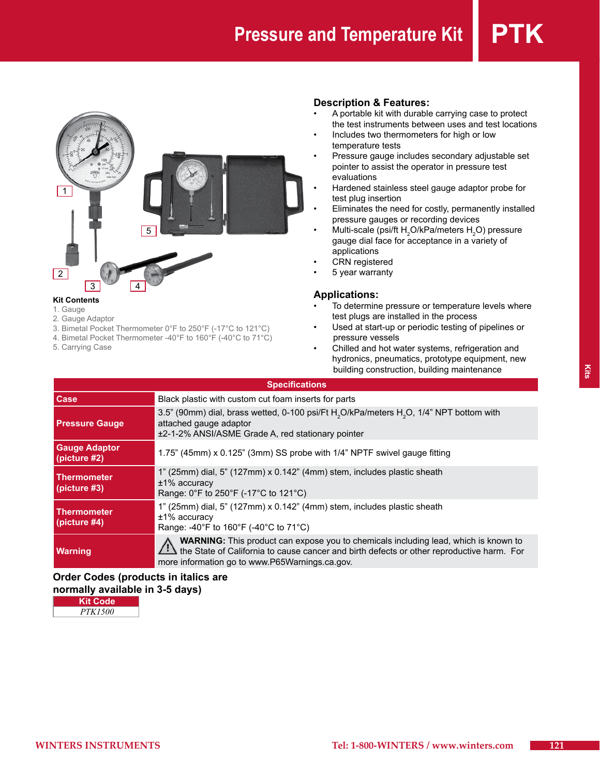

#### **Kit Contents**

- 1. Gauge
- 2. Gauge Adaptor
- 3. Bimetal Pocket Thermometer 0°F to 250°F (-17°C to 121°C)
- 4. Bimetal Pocket Thermometer -40°F to 160°F (-40°C to 71°C)
- 5. Carrying Case

# **Description & Features:**

- A portable kit with durable carrying case to protect the test instruments between uses and test locations
- Includes two thermometers for high or low temperature tests
- Pressure gauge includes secondary adjustable set pointer to assist the operator in pressure test evaluations
- Hardened stainless steel gauge adaptor probe for test plug insertion
- Eliminates the need for costly, permanently installed pressure gauges or recording devices
- Multi-scale (psi/ft H $_{2}$ O/kPa/meters H $_{2}$ O) pressure gauge dial face for acceptance in a variety of applications
- **CRN** registered
- 5 year warranty

### **Applications:**

- To determine pressure or temperature levels where test plugs are installed in the process
- Used at start-up or periodic testing of pipelines or pressure vessels
- Chilled and hot water systems, refrigeration and hydronics, pneumatics, prototype equipment, new building construction, building maintenance

| <b>Specifications</b>                |                                                                                                                                                                                                                                           |  |
|--------------------------------------|-------------------------------------------------------------------------------------------------------------------------------------------------------------------------------------------------------------------------------------------|--|
| Case                                 | Black plastic with custom cut foam inserts for parts                                                                                                                                                                                      |  |
| <b>Pressure Gauge</b>                | 3.5" (90mm) dial, brass wetted, 0-100 psi/Ft H <sub>2</sub> O/kPa/meters H <sub>2</sub> O, 1/4" NPT bottom with<br>attached gauge adaptor<br>±2-1-2% ANSI/ASME Grade A, red stationary pointer                                            |  |
| <b>Gauge Adaptor</b><br>(picture #2) | 1.75" (45mm) x 0.125" (3mm) SS probe with 1/4" NPTF swivel gauge fitting                                                                                                                                                                  |  |
| Thermometer<br>(picture #3)          | 1" (25mm) dial, 5" (127mm) x 0.142" (4mm) stem, includes plastic sheath<br>$±1\%$ accuracy<br>Range: 0°F to 250°F (-17°C to 121°C)                                                                                                        |  |
| Thermometer<br>(picture $#4$ )       | 1" (25mm) dial, 5" (127mm) x 0.142" (4mm) stem, includes plastic sheath<br>$±1\%$ accuracy<br>Range: -40°F to 160°F (-40°C to 71°C)                                                                                                       |  |
| <b>Warning</b>                       | <b>WARNING:</b> This product can expose you to chemicals including lead, which is known to<br>the State of California to cause cancer and birth defects or other reproductive harm. For<br>more information go to www.P65Warnings.ca.gov. |  |

## **Order Codes (products in italics are normally available in 3-5 days)**